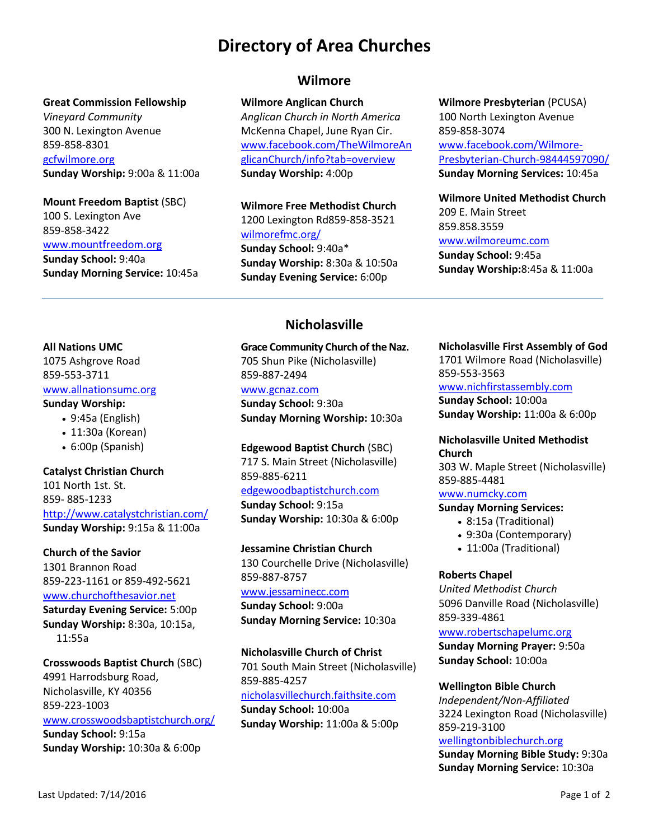# **Directory of Area Churches**

#### **Great Commission Fellowship**

*Vineyard Community* 300 N. Lexington Avenue 859-858-8301 [gcfwilmore.org](http://gcfwilmore.org/)

**Sunday Worship:** 9:00a & 11:00a

#### **Mount Freedom Baptist** (SBC)

100 S. Lexington Ave 859-858-3422 [www.mountfreedom.org](http://www.mountfreedom.org/) **Sunday School:** 9:40a **Sunday Morning Service:** 10:45a

### **Wilmore**

#### **Wilmore Anglican Church**

*Anglican Church in North America* McKenna Chapel, June Ryan Cir. [www.facebook.com/TheWilmoreAn](http://www.facebook.com/TheWilmoreAnglicanChurch/info?tab=overview) [glicanChurch/info?tab=overview](http://www.facebook.com/TheWilmoreAnglicanChurch/info?tab=overview) **Sunday Worship:** 4:00p

**Wilmore Free Methodist Church** 1200 Lexington Rd859-858-3521 [wilmorefmc.org/](http://www.wilmorefmc.org/) **Sunday School:** 9:40a\* **Sunday Worship:** 8:30a & 10:50a **Sunday Evening Service:** 6:00p

**Wilmore Presbyterian** (PCUSA) 100 North Lexington Avenue

859-858-3074 [www.facebook.com/Wilmore-](http://www.facebook.com/Wilmore-Presbyterian-Church-98444597090/)[Presbyterian-Church-98444597090/](http://www.facebook.com/Wilmore-Presbyterian-Church-98444597090/) **Sunday Morning Services:** 10:45a

**Wilmore United Methodist Church** 209 E. Main Street 859.858.3559 [www.wilmoreumc.com](http://www.wilmoreumc.com/)

**Sunday School:** 9:45a **Sunday Worship:**8:45a & 11:00a

#### **All Nations UMC**

1075 Ashgrove Road 859-553-3711 [www.allnationsumc.org](http://www.allnationsumc.org/)

#### **Sunday Worship:**

- 9:45a (English)
- 11:30a (Korean)
- 6:00p (Spanish)

#### **Catalyst Christian Church**

101 North 1st. St. 859- 885-1233 <http://www.catalystchristian.com/> **Sunday Worship:** 9:15a & 11:00a

**Church of the Savior**

1301 Brannon Road 859-223-1161 or 859-492-5621 [www.churchofthesavior.net](http://www.cosonline.org/) **Saturday Evening Service:** 5:00p

**Sunday Worship:** 8:30a, 10:15a, 11:55a

**Crosswoods Baptist Church** (SBC) 4991 Harrodsburg Road, Nicholasville, KY 40356 859-223-1003 [www.crosswoodsbaptistchurch.org/](http://www.crosswoodsbaptistchurch.org/) **Sunday School:** 9:15a **Sunday Worship:** 10:30a & 6:00p

**Nicholasville**

**Grace Community Church of the Naz.** 705 Shun Pike (Nicholasville) 859-887-2494 [www.gcnaz.com](http://www.nichnaz.org/) **Sunday School:** 9:30a **Sunday Morning Worship:** 10:30a

**Edgewood Baptist Church** (SBC) 717 S. Main Street (Nicholasville) 859-885-6211 [edgewoodbaptistchurch.com](http://www.edgewoodbaptistchurch.com/) **Sunday School:** 9:15a **Sunday Worship:** 10:30a & 6:00p

**Jessamine Christian Church** 130 Courchelle Drive (Nicholasville) 859-887-8757 [www.jessaminecc.com](http://www.jessaminecc.com/)

**Sunday School:** 9:00a **Sunday Morning Service:** 10:30a

**Nicholasville Church of Christ** 701 South Main Street (Nicholasville) 859-885-4257 [nicholasvillechurch.faithsite.com](http://www.nicholasvillechurch.faithsite.com/) **Sunday School:** 10:00a **Sunday Worship:** 11:00a & 5:00p

#### **Nicholasville First Assembly of God**

1701 Wilmore Road (Nicholasville) 859-553-3563

[www.nichfirstassembly.com](http://www.nichfirstassembly.com/)

**Sunday School:** 10:00a **Sunday Worship:** 11:00a & 6:00p

**Nicholasville United Methodist Church**

303 W. Maple Street (Nicholasville) 859-885-4481

#### [www.numcky.com](http://www.numcky.com/)

#### **Sunday Morning Services:**

- 8:15a (Traditional)
- 9:30a (Contemporary)
- 11:00a (Traditional)

#### **Roberts Chapel**

*United Methodist Church* 5096 Danville Road (Nicholasville) 859-339-4861

#### [www.robertschapelumc.org](http://www.robertschapelumc.org/)

**Sunday Morning Prayer:** 9:50a **Sunday School:** 10:00a

**Wellington Bible Church**

*Independent/Non-Affiliated* 3224 Lexington Road (Nicholasville) 859-219-3100

#### [wellingtonbiblechurch.org](http://wellingtonbiblechurch.org/)

**Sunday Morning Bible Study:** 9:30a **Sunday Morning Service:** 10:30a